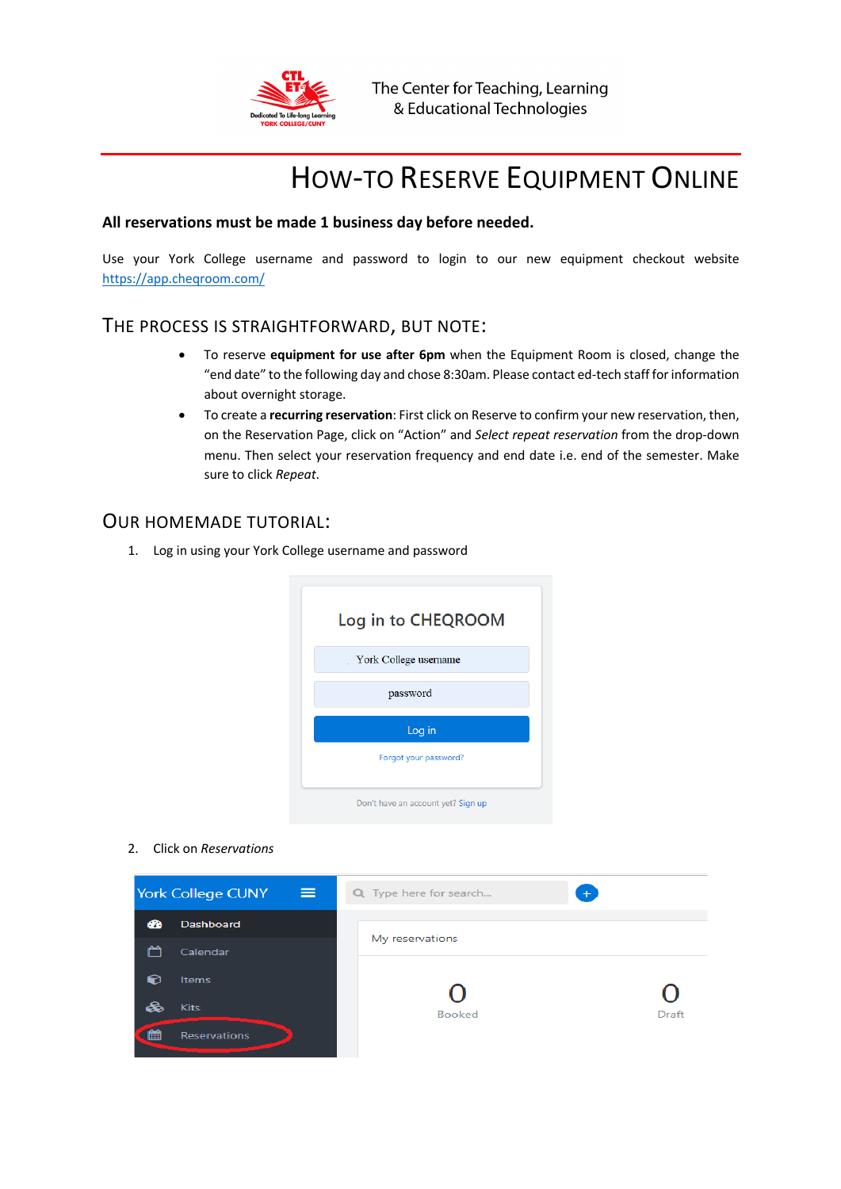

# HOW-TO RESERVE EQUIPMENT ONLINE

### **All reservations must be made 1 business day before needed.**

 Use your York College username and password to login to our new equipment checkout website [https://app.cheqroom.com/](https://app.cheqroom.com)

# THE PROCESS IS STRAIGHTFORWARD, BUT NOTE:

- To reserve **equipment for use after 6pm** when the Equipment Room is closed, change the "end date" to the following day and chose 8:30am. Please contact ed-tech staff for information about overnight storage.
- • To create a **recurring reservation**: First click on Reserve to confirm your new reservation, then, on the Reservation Page, click on "Action" and *Select repeat reservation* from the drop-down menu. Then select your reservation frequency and end date i.e. end of the semester. Make sure to click *Repeat*.

## OUR HOMEMADE TUTORIAL:

1. Log in using your York College username and password



2. Click on *Reservations*